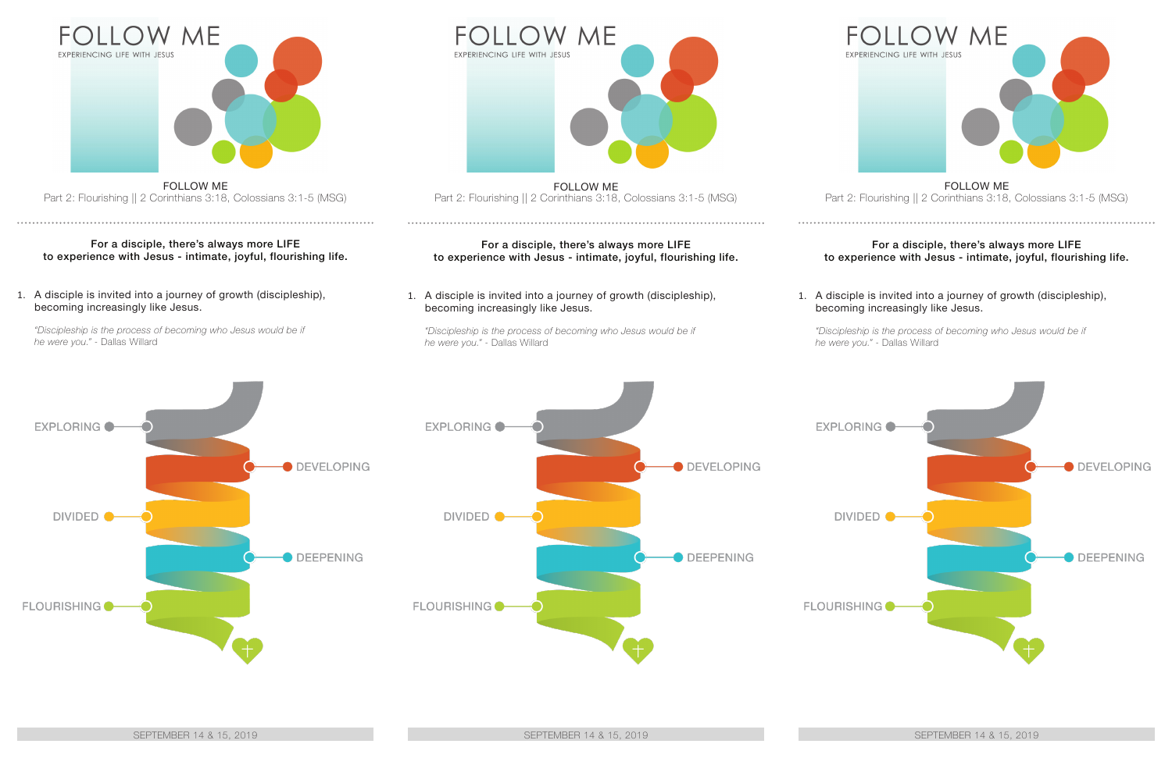

FOLLOW ME Part 2: Flourishing || 2 Corinthians 3:18, Colossians 3:1-5 (MSG)

## For a disciple, there's always more LIFE to experience with Jesus - intimate, joyful, flourishing life.

1. A disciple is invited into a journey of growth (discipleship), becoming increasingly like Jesus.

*"Discipleship is the process of becoming who Jesus would be if he were you."* - Dallas Willard